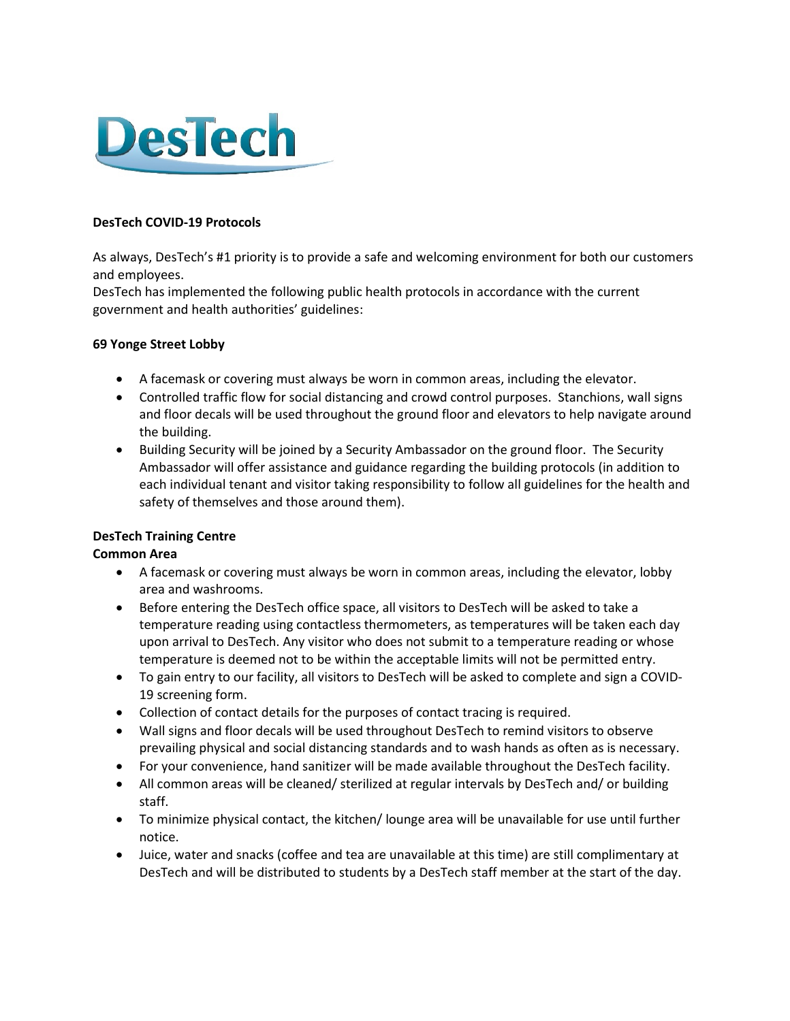

### DesTech COVID-19 Protocols

As always, DesTech's #1 priority is to provide a safe and welcoming environment for both our customers and employees.

DesTech has implemented the following public health protocols in accordance with the current government and health authorities' guidelines:

### 69 Yonge Street Lobby

- A facemask or covering must always be worn in common areas, including the elevator.
- Controlled traffic flow for social distancing and crowd control purposes. Stanchions, wall signs and floor decals will be used throughout the ground floor and elevators to help navigate around the building.
- Building Security will be joined by a Security Ambassador on the ground floor. The Security Ambassador will offer assistance and guidance regarding the building protocols (in addition to each individual tenant and visitor taking responsibility to follow all guidelines for the health and safety of themselves and those around them).

# DesTech Training Centre

# Common Area

- A facemask or covering must always be worn in common areas, including the elevator, lobby area and washrooms.
- Before entering the DesTech office space, all visitors to DesTech will be asked to take a temperature reading using contactless thermometers, as temperatures will be taken each day upon arrival to DesTech. Any visitor who does not submit to a temperature reading or whose temperature is deemed not to be within the acceptable limits will not be permitted entry.
- To gain entry to our facility, all visitors to DesTech will be asked to complete and sign a COVID-19 screening form.
- Collection of contact details for the purposes of contact tracing is required.
- Wall signs and floor decals will be used throughout DesTech to remind visitors to observe prevailing physical and social distancing standards and to wash hands as often as is necessary.
- For your convenience, hand sanitizer will be made available throughout the DesTech facility.
- All common areas will be cleaned/ sterilized at regular intervals by DesTech and/ or building staff.
- To minimize physical contact, the kitchen/ lounge area will be unavailable for use until further notice.
- Juice, water and snacks (coffee and tea are unavailable at this time) are still complimentary at DesTech and will be distributed to students by a DesTech staff member at the start of the day.